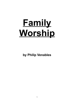# **Family Worship**

**by Philip Venables**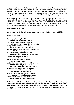We, as Christians, are called to engage in the appreciation of our God; we are called to worship. There are two particular areas which we tend to emphasise as being critically important in our worship; we worship God in church and and we worship God individually. However, there is an area for worship, which we tend to ignore and avoid, and that is in the family. There is a missing jewel in our worship and that missing jewel is "family worship".

When growing up in evangelical circles, I look back and perceive that the message given was one that it was good and beneficial to do family worship, but it did not really matter that much. The more I have thought about it, the more I have come to conclude that it is a vital part of Christian living. Accordingly, my goal in writing this article is to encourage everyone to ponder upon this vital ministry and how they can participate in it.

## **The Importance Of Family**

Let us get straight to the scriptures and see how important the family is to the LORD.

Psalm 78 :1-8 reads:

**My people, hear my teaching; listen to the words of my mouth. I will open my mouth with a parable; I will utter hidden things, things from of old– things we have heard and known, things our ancestors have told us. We will not hide them from their descendants; we will tell the next generation the praiseworthy deeds of the LORD, his power, and the wonders he has done. He decreed statutes for Jacob and established the law in Israel, which he commanded our ancestors to teach their children, so that the next generation would know them, even the children yet to be born, and they in turn would tell their children. Then they would put their trust in God and would not forget his deeds but would keep his commands. They would not be like their ancestors– a stubborn and rebellious generation, whose hearts were not loyal to God, whose spirits were not faithful to him.**

And in Joshua 24:15 we read this commitment of Joshua **But if serving the Lord seems undesirable to you, then choose for yourselves this day whom you will serve, whether the gods your ancestors served beyond the Euphrates, or the gods of the Amorites, in whose land you are living. But as for me and my household, we will serve the Lord.'**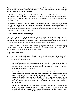As we consider these scriptures, we start to engage with the fact that God has a particular interest in families coming together to interact with Him. This is with the goal that His ways will be passed on to the next generation.

Joshua tells us not only of his own desire to serve the Lord, but the desire that his whole family would serve the LORD. In Psalm 78 David has this longing that the great teachings and truths of God will be passed on to the next generations. This would lead them to put their trust in God.

Immediately we are led to ask the question how will this passing on of the truth take place? How is it that households and oncoming generations will have an experience of God No doubt this should be happening in the normal happenings of family life. However, there should also be those times when the family draws together before God's throne to worship Him and hear from Him through His Word.

## **What Is It That We Are Considering?**

It is the drawing together of the family (household) to spend a time together acknowledging God. It involves a specific time when the Word of God is read, the praise of God is sung and prayer to God is made. It does not always have to include all of those things, but that is the normal expectation of what takes place when there is family worship.

In Joshua 24:24 the word serve has the idea of giving honour to someone; acknowledging their superiority and working for them. When we come together as families to worship God in the family we are doing Joshua 24:24 type activity.

#### **Why Family Worship?**

- 1. God has a particular interest in families and in Himself being known in families. We have already had a flavour of this in Psalm 78 and Joshua 24, but let us underline some of the pertaining issues:
	- The most fundamental unit of society as originally intended by God is the family. He determined that Adam and Eve were bound together so as to form a family unit, and that children were brought into that unit. When the family is going well, the church is going well and society is going well.
	- There is this interesting phrase in Ephesians 3:14-15: **For this reason I kneel before the Father, from whom every family in heaven and on earth derives its name.** Paul has been speaking about the wonderful way God works in forming a people for Himself in His church (see Eph. 3:1-13), and then he breaks out into this eulogising over God. It is as if God, by forming a people in the church, is doing that which is patterned after what He did in forming beings in heaven, and people on earth in families.

The church is the core unit for God working to glorify His Name and His Son on this planet. Church are to be formed to be like His original creation of gathering humans beings into families. Surely families then should be places like churches are meant to be, where the worship of God takes place.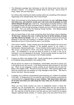• The Ephesians passage also introduces us into the theme about how there are families in heaven. In a sense the ultimate family is the trinity. God is known in trinity; Father, Son and Holy Spirit.

So a family when entering into family worship enters into something of the heavenly happenings of the ultimate family; that of God Himself.

- When God promised to bring blessing through Abraham He said **I will bless those who bless you, and whoever curses you I will curse and all peoples on earth will be blessed through you.** (Gen12:3). All groupings of peoples achieve a state of blessing through the seed connected back to Abraham, namely or Lord Jesus. God delights to work through groupings of people and one of those key groupings is the family. The Lord works His blessing through families. And blessed people should gather to worship together.
- Also we should listen to this verse concerning when God brings a time of blessing. **'At that time,' declares the Lord, 'I will be the God of all the families of Israel, and they will be my people.'** (Jer. 31:1). When the people of God are knowing the blessing of God they are knowing it in families, and so it should be for us. The blessings we have in Christ should be seen in our families.
- 2. Life is lived in families. Family worship gives the great link between the church and the individual. Jonathan Edwards, in his farewell sermon to his church in Northampton, Massachusetts said :- "*Every Christian family ought to be as it were a little church, consecrated to Christ, and wholly influenced and governed by His rules"*. So Christianity is not just out there at church or in here, in me, as an individual, it is to be displayed in the family. Family worship should not need to be argued for, it should be a normal part of all Christian families.
- 3. It shows our faith in the realities of life. Family worship gives a powerful testimony to Christianity being embedded in the realities of life.

We can all put on a show in our workplaces, communities, and even in church, but in the family we are who we are. In the family everyone sees everyone for who they are. When we are engaging in family worship we are showing that we want the Bible in the realities of life. We want to know God here. When parents gather their family for worship they are sending out a big message to their family. *"We want to honour God here"*, they are saying.

4. It enables you to fulfil the commandment about teaching your children the statutes of the faith. In Deuteronomy 6:7 we read the call of God to parents concerning his commandments to **Impress them on your children. Talk about them when you sit at home and when you walk along the road, when you lie down and when you get up.** 

When you have family worship you have an established means in family life whereby you can accomplish this. You are sitting down and you are turning to scripture. Some might say that we should just let it happen in the general flow of life. My response is that life tends to just flow past you and it tends not to happen. Regular organised family worship, in a sense, gives a trip wire which forces us to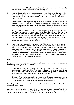be bringing the truth of God into our families. We should make every effort to make sure that family worship is an integral part of family life.

5. We should be thinking of our homes as places where disciples for Christ are being formed. *"If every family in every church got serious about making disciples in the home it would change our world."* (taken from Winfield Bevins, A quick guide to family worship).

We should not be thinking that disciples of Jesus just happen or that discipleship is the responsibility of the church. Through family worship children are taught the Word, but are also taught how to handle the Word. They should be also be taught how the Word relates to everyday life. This is disciple-making.

- 6. One of the most profound reasons why you will want to bring family worship into your family is because you passionately care about the spiritual welfare of your children. You want to take every opportunity to bring the Word into their lives. You also want them to know that you are praying for them. They will hear you pray for them. By having a time for God every day as a family you have eternity invading your daily life everyday. Accordingly every day they are reminded of the most important realities, that of God and eternity.
- 7. Simply and most profoundly it honours God. What does the first commandment say? Consider the Word from Matthew 22:35- 38 **One of them, an expert in the law, tested him with this question: 'Teacher, which is the greatest commandment in the Law?' Jesus replied: "Love the Lord your God with all your heart and with all your soul and with all your mind." This is the first and greatest commandment.** Every time we get together as a family to acknowledge God we are saying: *"you matter in a big way to us Lord"*. We are thereby keeping the first of the two summary commandments.

# **How?**

There are two key pole-stars that we should have in mind when we come to arranging and participating in family worship. These are:-

- **Engagement** We are to make sure that we engage with those who are participating in family worship. This requires thought and consideration. If you have younger ones there, then you must make sure that they can take-in and relate to, at least part of, what is happening in your worship time.
- **Energy** This particularly applies to the parents. If you do not approach family time with enthusiasm and a demonstrable commitment to it, then very likely the rest of the family will be somewhat 'turned off' by the whole experience.

Accordingly, with those two motivations driving us let us look at some of the details of how we arrange family worship.

You need to remember what you are doing. You are gathering as a group of people, of mixed backgrounds, abilities and spiritual situations, to come to worship God. So as you come to worship you are thinking about who is there and what you are doing.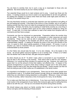You are there to worship God, but in such a way as is meaningful to those who are gathered. But what exactly do you do in family worship?

Two essential things would be to read scripture and to pray. I would say those are the basics. In reading scripture you have to seek to act appropriately for all who are gathered. So reading five chapters of Leviticus when there are those under eight years old there, is not likely to be wisest thing to do!

The way that family worship is conducted also depends upon the experience and gifting of the one leading the worship. If the head of the home is a new Christian, who is not used to leading worship then they must not make the arrangement and structure of the worship too demanding. Similarly, the family may be seeking to install family worship as a new thing in family life. In such a situation there must not be undue pressure exerted by doing too much. To start with, it is more than sufficient to read a few verses from Scripture with no comments and then have a prayer.

Comments can then be introduced as appropriate. Preparation before the worship time can be useful. The use of helps, such as a commentary or other resources are worth considering. These can be used as aids in preparation and/or in family worship itself. Ryles Expository Thoughts on the Gospels can still be most useful in giving helpful and understandable material. In seeking to develop the study of the word and worship of the Lord, it is good to think about asking questions of those present. Of course, in such a situation you need to remember that your questions should be of such a level as to be understandable by those present.

It is the Father who should take the lead. It is he who initiates. He is the leader in the house. He should gather everyone together so as to worship God. If there is no Father then the Mother has to take the lead, she gets everyone together.

So when should you do it? To which I reply: when is convenient in your household? It may be best in the morning or the evening. Think about what is best for your situation. Whenever, it is I would say thirty minutes is a maximum per day. However, you need to be aware that it is not the amount of time that matters, but effective time. In respect of the general arrangements it is good to think about making it regular and in the same place. Children respond well to this; they like things that are familiar. Family worship can then be built into being as part of their routine as it is established in the family routine.

It is important to be flexible In your arrangements. There may be times when people have commitments to get to. To frustrate those present through having an extended family time whilst they are committed to being elsewhere is unthoughtful. Moreover, it does not make it a time of worship, rather it becomes a time of annoyance for many. So be flexible.

Try to make sure that there are no disturbances. If you have your family worship times as a set routine in the arrangement of your family then everyone gets used to setting that time aside to be with the Lord. One tip is to not answer the phone during family worship.

We should always pray about our family worship that it would be used for the Lord's honour and glory and the blessing of those present.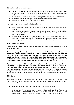Other things to think about doing are:-

- Singing. We are there to worship God and we have something to sing about. So it can be good to sing. If there no musical instruments have a go at singing without music.
- Do catechisms. These involve learning through 'Question and answer' booklets.
- Do memory verses. It is so good to get the scriptures into our minds.
- Follow prayer guides so as to direct your praying.

Here is the approach we broadly adopt as a family:-

- We set ourselves morning and evening on a Monday to Friday to engage in family worship.
- In the morning we do this whilst sat at the dining table but before we eat breakfast. We read a portion from the New Testament, sometimes with a brief comment, and then I lead in prayer.
- In the evening we generally have what we call "Family Time" after our evening meal. Here we read from the Old Testament. We also pray together. Sometimes we have open prayer; sometimes all six of us pray. We will sing on occasion.

# **Who should be involved?**

God is interested in households. The way Abraham took responsibility for those in his care is instructive to us.

**On that very day Abraham took his son Ishmael and all those born in his household or bought with his money, every male in his household, and circumcised them, as God told him. Abraham was ninety-nine years old when he was circumcised, and his son Ishmael was thirteen; Abraham and his son Ishmael were both circumcised on that very day. And every male in Abraham's household, including those born in his household or bought from a foreigner, was circumcised with him** (Gen. 17:23-27).

Abraham took responsibility for all those gathered in his care and so should we. Accordingly, I suggest that the whole of the household should be involved. Obviously there are exceptions; perhaps someone is ill, or people are out or away. In a sense, if there are just two in the house they are engaging in family worship. So children should be being born into a family where there is already family worship. There should not be a time when children have not known the family gathering together to worship the LORD together.

#### **Objections**

You might respond to all the detail above and say that *"I just can't do it!"* If that is the case then, I suggest, you have to think about how you are going to overcome this barrier. Here are a few thoughts:

- Get someone to help and guide you as regards to what you might do.
- Go to someone's home and see how they do their family worship. Also talk to others about it. You need to remember you do not have to do too much. One thought is to use what you plan to do for family study for your own quiet time.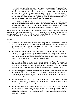- If you think that *"life is just too busy, I do not have time to do family worship"* then perhaps you need to trim things from your life. Family worship needs to have a priority. It is so very important for the life of your family, so put it high in your priorities. There is a phrase 'where-there-is-a-will-there-is-a-way' and this applies in worshipping together as a family. Accordingly, if say the Father is away a lot of the time or there are other eventualities, you may have to think "outside-of-the-box". Use Skype for example if that is a way to make things happen.
- Some might say that their children are too diverse in age. This raises issues as regards to being sensitive to those there. But remember that all can sing and all can listen to Word of God. But if you do have a yelling baby don't just carry on for the sake of it, because if no-one can hear you are achieving very little.

Finally here, as regards objections, may I say that not doing family worship can reveal your laziness and even lack of zeal for the LORD. You have to be Joshua-like and say: *"we are going to do it"*. And then get on with the hard work and see the benefits to be reaped. Which nicely leads us on to the benefits of family worship.

# **Benefits.**

- Your children are led to know that the honouring of God permeates the whole of your life. If you fail to have family worship you exist with a spiritual gap between the individual and church. Family worship fills that gap. There is worship not just in church and on your own, but as a family.
- You are showing your children that the Word of God matters to you. You need to remember that children learn so much by observation. So, for the youngest ones it may not be what they are actually learning, but it is the impressions that are being borne upon their souls that are so important. They know that the Word of God must mean a lot to you because you continually read it to them.
- Talking about spiritual things becomes a natural part of your family life. Interacting with the children through family worship gets them used to talking about the deep things of life and eternity. All this helps in the developing of a natural close relationship of the parents with the children in which spiritual things are a part.
- You are training your children to be able to benefit from the corporate worship of the people of God in Church. They learn to sit and listen. Moreover through the family worship experience singing is not thought of as a "cringe thing"! Rather, it is something that happens naturally.
- You are covering so many things in the Bible as you go through the Scriptures naturally. Accordingly, their minds are being formed in a biblical way. Biblical themes are permeating their thinking.
- You develop a good conscience before that Lord in that you are fulfilling your biblical mandate. In this, the words of Ephesians 6:4 are pertinent **Fathers, do not exasperate your children; instead, bring them up in the training and instruction of the Lord.** You are bringing them up in His training and instruction by having family worship.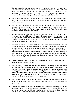- You are kept alert as regards to your own godliness. You are "up-close-andpersonal" with the Word of God, and your children are onlookers. They will soon detect any hypocrisy. So you are forced to repent of your sin. Spiritually your life before God is not just a personal thing, neither is it just a church thing. Rather, it is a very real thing in the nitty-gritty of life as it is expressed in the family.
- Family worship keeps the family together. The family is brought together before God. There is something binding in the purposes of God, in studying the Word and praying together.
- There is a great protection in it all because you are bringing your family under the shadow of the Lords' protective care through family worship. Thomas Brooks said. *'A family without prayer is like a house without a roof'.* Your family is left very vulnerable if there is no collective praise.
- You are preparing the next generation for knowing the Lord and serving Him. Here we go back to Psalm 78 and God's great call to pass on the baton of grace to the next generation. Family Worship is a crucial facet of that. So many children from Christian families do not go on for the Lord; I am left wondering if this is because there is no family worship in the home.
- The father re-enforces his lead in the family. This is not in a forced way, but it is in a natural and real way. The father is seen to be the head. It is he who simply says "let us come together for family-time" or whatever phrase is used in your family. He organises, and the family forms around that. The wife is at his side. The children are comfortable under their protector-ship. This all provided a particular way in which the father can gently, but in a real way establish his authority in the family. He is the leader after all. To quote Joel Beeke: *As goes the father so goes the home and so goes the church.*
- It encourages the children who are in Christ to speak of Him. They are used to speaking about Him before others.
- Through family worship the family is taught that Christianity is not just about adopting some moral framework in to our lives, it is about being worshippers of the true and living God. **Yet a time is coming and has now come when the true worshippers will worship the Father in the Spirit and in truth, for they are the kind of worshippers the Father seeks. God is spirit, and his worshippers must worship in the Spirit and in truth** (John 4:23-24) is the Word of our Saviour. Family worship helps us to make those worshippers.
- The family is bound together around common knowledge. Each are hearing the same things. Therefore there is a sense of collective identity. Each has heard the same thing.
- It means we are not always fire fighting issues. The Word is dealing with things before they arise. The family are being taught the truth. Through the Word the parents are teaching the children what behaviour is pleasing to God. But the parents should never forget that they are under the Word as well.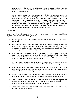- Teaches humility. Sometimes you will be asked something by the children and you will not know the answer. Whereupon you have to say something like *"I do not know, let's seek to find out."*
- Family worship helps the home to be centred on Christ. As you are unfolding the truth of God's Word you are unfolding the ways of God's grace into the lives of the children. And such grace focusses on our Saviour. **You know the grace of our Lord Jesus Christ, that though he was rich, yet for your sake he became poor, so that you through his poverty might become rich** (2 Cor. 8:9) is how Paul represents the grace demonstrated in and through our Saviour. What an opportunity is provided through gathering the family together around the Word and around the Lord to introduce them to our beautiful Saviour.

#### **Conclusion**

Lets us conclude with some remarks to coalesce all that we have been considering regarding this great subject of family worship.

- God is supremely interested in passing things on to the next generation. Are we so interested?
- Life is passing away! Are we praying for and longing for the ongoing work of God on this earth. Read through the beginning of 1 Chronicles and see how as the generations passed away, new generations were raised up and established. What are we doing to pass on the baton of grace?
- What better way is there for children to get used to reading than in reading the Word of God as a family. We as a family normally "read round" with each of us reading a verse. For the younger ones we have started off by giving them an easy verse, gradually they become part of the reading.
- As I look back I wish had had done more to encourage the developing of this ministry in the Church. It is so vital for seeing the faith established among us.
- When Richard Baxter saw great transformation of the community in Kidderminster in seventeenth century, one of the key motors for this change was the widespread adoption of family worship among the people.
- In recent times family worship has been the missing jewel in the life of the people of God. Happily, I think there is now more interest in it as people realise its value.
- It is my observation that where families are found worshipping the Lord together the children have gone on to serve the Lord and live for Him. They have seen that God is real in the home and God has used this for their good.
- It is no good just expecting the church to train our children in the ways of God. No, God gives children into families.